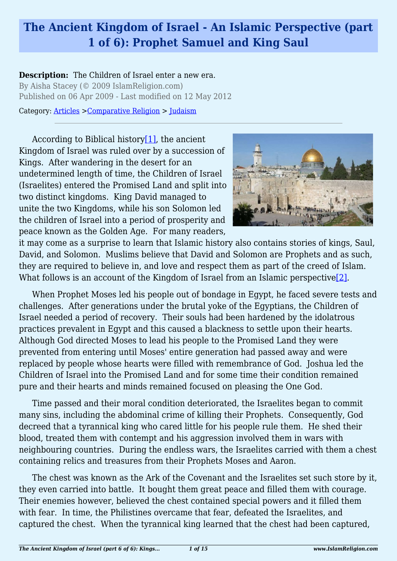# **The Ancient Kingdom of Israel - An Islamic Perspective (part 1 of 6): Prophet Samuel and King Saul**

**Description:** The Children of Israel enter a new era. By Aisha Stacey (© 2009 IslamReligion.com) Published on 06 Apr 2009 - Last modified on 12 May 2012

Category: [Articles](http://www.islamreligion.com/articles/) >[Comparative Religion](http://www.islamreligion.com/category/68/) > [Judaism](http://www.islamreligion.com/category/72/)

<span id="page-0-0"></span>According to Biblical history $[1]$ , the ancient Kingdom of Israel was ruled over by a succession of Kings. After wandering in the desert for an undetermined length of time, the Children of Israel (Israelites) entered the Promised Land and split into two distinct kingdoms. King David managed to unite the two Kingdoms, while his son Solomon led the children of Israel into a period of prosperity and peace known as the Golden Age. For many readers,



it may come as a surprise to learn that Islamic history also contains stories of kings, Saul, David, and Solomon. Muslims believe that David and Solomon are Prophets and as such, they are required to believe in, and love and respect them as part of the creed of Islam. What follows is an account of the Kingdom of Israel from an Islamic perspective  $[2]$ .

<span id="page-0-1"></span>When Prophet Moses led his people out of bondage in Egypt, he faced severe tests and challenges. After generations under the brutal yoke of the Egyptians, the Children of Israel needed a period of recovery. Their souls had been hardened by the idolatrous practices prevalent in Egypt and this caused a blackness to settle upon their hearts. Although God directed Moses to lead his people to the Promised Land they were prevented from entering until Moses' entire generation had passed away and were replaced by people whose hearts were filled with remembrance of God. Joshua led the Children of Israel into the Promised Land and for some time their condition remained pure and their hearts and minds remained focused on pleasing the One God.

Time passed and their moral condition deteriorated, the Israelites began to commit many sins, including the abdominal crime of killing their Prophets. Consequently, God decreed that a tyrannical king who cared little for his people rule them. He shed their blood, treated them with contempt and his aggression involved them in wars with neighbouring countries. During the endless wars, the Israelites carried with them a chest containing relics and treasures from their Prophets Moses and Aaron.

The chest was known as the Ark of the Covenant and the Israelites set such store by it, they even carried into battle. It bought them great peace and filled them with courage. Their enemies however, believed the chest contained special powers and it filled them with fear. In time, the Philistines overcame that fear, defeated the Israelites, and captured the chest. When the tyrannical king learned that the chest had been captured,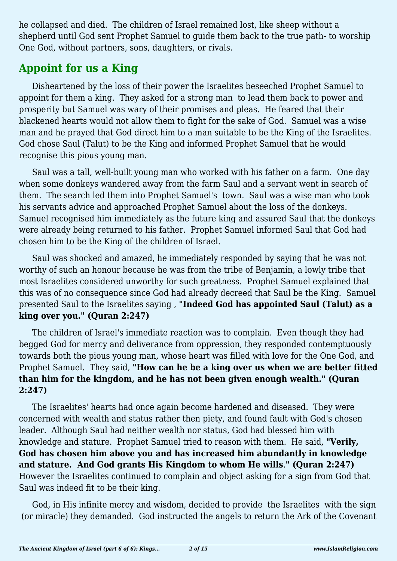he collapsed and died. The children of Israel remained lost, like sheep without a shepherd until God sent Prophet Samuel to guide them back to the true path- to worship One God, without partners, sons, daughters, or rivals.

# **Appoint for us a King**

Disheartened by the loss of their power the Israelites beseeched Prophet Samuel to appoint for them a king. They asked for a strong man to lead them back to power and prosperity but Samuel was wary of their promises and pleas. He feared that their blackened hearts would not allow them to fight for the sake of God. Samuel was a wise man and he prayed that God direct him to a man suitable to be the King of the Israelites. God chose Saul (Talut) to be the King and informed Prophet Samuel that he would recognise this pious young man.

Saul was a tall, well-built young man who worked with his father on a farm. One day when some donkeys wandered away from the farm Saul and a servant went in search of them. The search led them into Prophet Samuel's town. Saul was a wise man who took his servants advice and approached Prophet Samuel about the loss of the donkeys. Samuel recognised him immediately as the future king and assured Saul that the donkeys were already being returned to his father. Prophet Samuel informed Saul that God had chosen him to be the King of the children of Israel.

Saul was shocked and amazed, he immediately responded by saying that he was not worthy of such an honour because he was from the tribe of Benjamin, a lowly tribe that most Israelites considered unworthy for such greatness. Prophet Samuel explained that this was of no consequence since God had already decreed that Saul be the King. Samuel presented Saul to the Israelites saying , **"Indeed God has appointed Saul (Talut) as a king over you." (Quran 2:247)**

The children of Israel's immediate reaction was to complain. Even though they had begged God for mercy and deliverance from oppression, they responded contemptuously towards both the pious young man, whose heart was filled with love for the One God, and Prophet Samuel. They said, **"How can he be a king over us when we are better fitted than him for the kingdom, and he has not been given enough wealth." (Quran 2:247)**

The Israelites' hearts had once again become hardened and diseased. They were concerned with wealth and status rather then piety, and found fault with God's chosen leader. Although Saul had neither wealth nor status, God had blessed him with knowledge and stature. Prophet Samuel tried to reason with them. He said, **"Verily, God has chosen him above you and has increased him abundantly in knowledge and stature. And God grants His Kingdom to whom He wills**.**" (Quran 2:247)** However the Israelites continued to complain and object asking for a sign from God that Saul was indeed fit to be their king.

God, in His infinite mercy and wisdom, decided to provide the Israelites with the sign (or miracle) they demanded. God instructed the angels to return the Ark of the Covenant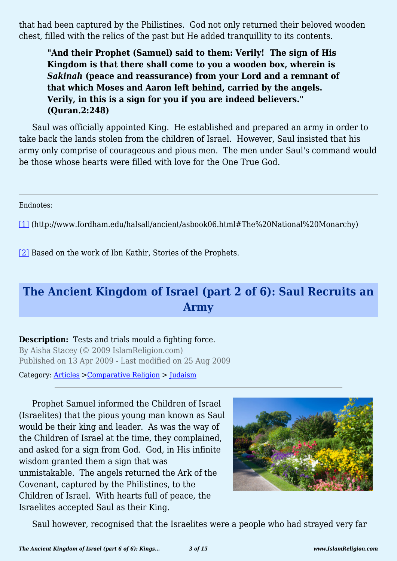that had been captured by the Philistines. God not only returned their beloved wooden chest, filled with the relics of the past but He added tranquillity to its contents.

**"And their Prophet (Samuel) said to them: Verily! The sign of His Kingdom is that there shall come to you a wooden box, wherein is** *Sakinah* **(peace and reassurance) from your Lord and a remnant of that which Moses and Aaron left behind, carried by the angels. Verily, in this is a sign for you if you are indeed believers." (Quran.2:248)**

Saul was officially appointed King. He established and prepared an army in order to take back the lands stolen from the children of Israel. However, Saul insisted that his army only comprise of courageous and pious men. The men under Saul's command would be those whose hearts were filled with love for the One True God.

Endnotes:

<span id="page-2-0"></span>[\[1\]](#page-0-0) (http://www.fordham.edu/halsall/ancient/asbook06.html#The%20National%20Monarchy)

<span id="page-2-1"></span>[\[2\]](#page-0-1) Based on the work of Ibn Kathir, Stories of the Prophets.

# **The Ancient Kingdom of Israel (part 2 of 6): Saul Recruits an Army**

**Description:** Tests and trials mould a fighting force. By Aisha Stacey (© 2009 IslamReligion.com)

Published on 13 Apr 2009 - Last modified on 25 Aug 2009

Category: [Articles](http://www.islamreligion.com/articles/) >[Comparative Religion](http://www.islamreligion.com/category/68/) > [Judaism](http://www.islamreligion.com/category/72/)

Prophet Samuel informed the Children of Israel (Israelites) that the pious young man known as Saul would be their king and leader. As was the way of the Children of Israel at the time, they complained, and asked for a sign from God. God, in His infinite wisdom granted them a sign that was unmistakable. The angels returned the Ark of the Covenant, captured by the Philistines, to the Children of Israel. With hearts full of peace, the Israelites accepted Saul as their King.



Saul however, recognised that the Israelites were a people who had strayed very far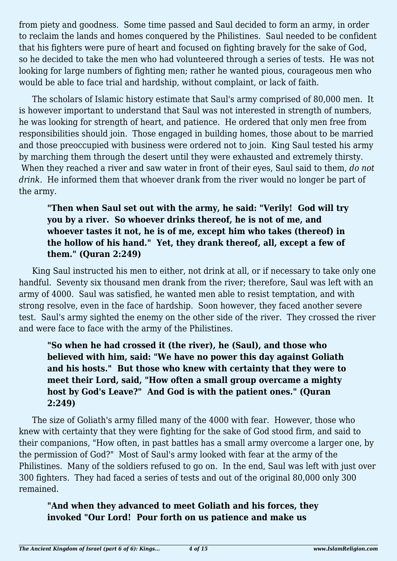from piety and goodness. Some time passed and Saul decided to form an army, in order to reclaim the lands and homes conquered by the Philistines. Saul needed to be confident that his fighters were pure of heart and focused on fighting bravely for the sake of God, so he decided to take the men who had volunteered through a series of tests. He was not looking for large numbers of fighting men; rather he wanted pious, courageous men who would be able to face trial and hardship, without complaint, or lack of faith.

The scholars of Islamic history estimate that Saul's army comprised of 80,000 men. It is however important to understand that Saul was not interested in strength of numbers, he was looking for strength of heart, and patience. He ordered that only men free from responsibilities should join. Those engaged in building homes, those about to be married and those preoccupied with business were ordered not to join. King Saul tested his army by marching them through the desert until they were exhausted and extremely thirsty. When they reached a river and saw water in front of their eyes, Saul said to them, *do not drink*. He informed them that whoever drank from the river would no longer be part of the army.

#### **"Then when Saul set out with the army, he said: "Verily! God will try you by a river. So whoever drinks thereof, he is not of me, and whoever tastes it not, he is of me, except him who takes (thereof) in the hollow of his hand." Yet, they drank thereof, all, except a few of them." (Quran 2:249)**

King Saul instructed his men to either, not drink at all, or if necessary to take only one handful. Seventy six thousand men drank from the river; therefore, Saul was left with an army of 4000. Saul was satisfied, he wanted men able to resist temptation, and with strong resolve, even in the face of hardship. Soon however, they faced another severe test. Saul's army sighted the enemy on the other side of the river. They crossed the river and were face to face with the army of the Philistines.

### **"So when he had crossed it (the river), he (Saul), and those who believed with him, said: "We have no power this day against Goliath and his hosts." But those who knew with certainty that they were to meet their Lord, said, "How often a small group overcame a mighty host by God's Leave?" And God is with the patient ones." (Quran 2:249)**

The size of Goliath's army filled many of the 4000 with fear. However, those who knew with certainty that they were fighting for the sake of God stood firm, and said to their companions, "How often, in past battles has a small army overcome a larger one, by the permission of God?" Most of Saul's army looked with fear at the army of the Philistines. Many of the soldiers refused to go on. In the end, Saul was left with just over 300 fighters. They had faced a series of tests and out of the original 80,000 only 300 remained.

#### **"And when they advanced to meet Goliath and his forces, they invoked "Our Lord! Pour forth on us patience and make us**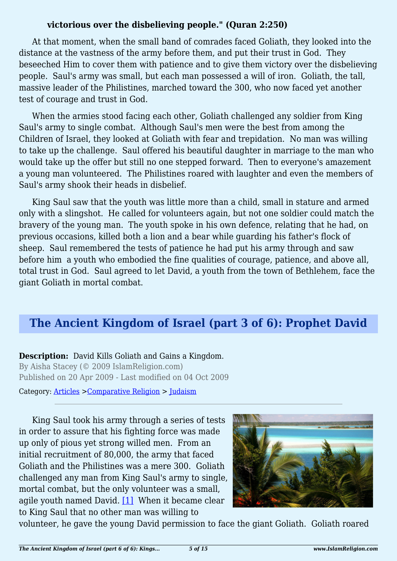#### **victorious over the disbelieving people." (Quran 2:250)**

At that moment, when the small band of comrades faced Goliath, they looked into the distance at the vastness of the army before them, and put their trust in God. They beseeched Him to cover them with patience and to give them victory over the disbelieving people. Saul's army was small, but each man possessed a will of iron. Goliath, the tall, massive leader of the Philistines, marched toward the 300, who now faced yet another test of courage and trust in God.

When the armies stood facing each other, Goliath challenged any soldier from King Saul's army to single combat. Although Saul's men were the best from among the Children of Israel, they looked at Goliath with fear and trepidation. No man was willing to take up the challenge. Saul offered his beautiful daughter in marriage to the man who would take up the offer but still no one stepped forward. Then to everyone's amazement a young man volunteered. The Philistines roared with laughter and even the members of Saul's army shook their heads in disbelief.

King Saul saw that the youth was little more than a child, small in stature and armed only with a slingshot. He called for volunteers again, but not one soldier could match the bravery of the young man. The youth spoke in his own defence, relating that he had, on previous occasions, killed both a lion and a bear while guarding his father's flock of sheep. Saul remembered the tests of patience he had put his army through and saw before him a youth who embodied the fine qualities of courage, patience, and above all, total trust in God. Saul agreed to let David, a youth from the town of Bethlehem, face the giant Goliath in mortal combat.

### **The Ancient Kingdom of Israel (part 3 of 6): Prophet David**

**Description:** David Kills Goliath and Gains a Kingdom. By Aisha Stacey (© 2009 IslamReligion.com) Published on 20 Apr 2009 - Last modified on 04 Oct 2009

Category: [Articles](http://www.islamreligion.com/articles/) >[Comparative Religion](http://www.islamreligion.com/category/68/) > [Judaism](http://www.islamreligion.com/category/72/)

King Saul took his army through a series of tests in order to assure that his fighting force was made up only of pious yet strong willed men. From an initial recruitment of 80,000, the army that faced Goliath and the Philistines was a mere 300. Goliath challenged any man from King Saul's army to single, mortal combat, but the only volunteer was a small, agile youth named David. [\[1\]](#page-6-0) When it became clear to King Saul that no other man was willing to



<span id="page-4-0"></span>volunteer, he gave the young David permission to face the giant Goliath. Goliath roared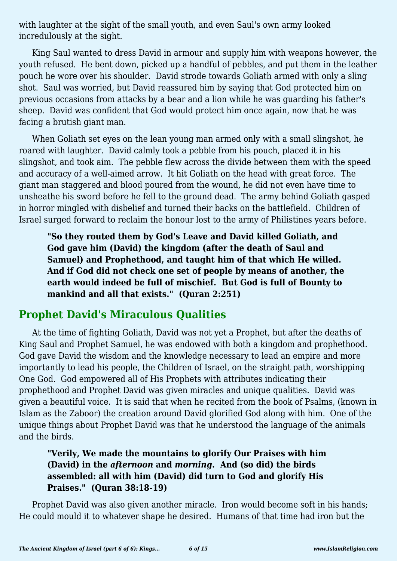with laughter at the sight of the small youth, and even Saul's own army looked incredulously at the sight.

King Saul wanted to dress David in armour and supply him with weapons however, the youth refused. He bent down, picked up a handful of pebbles, and put them in the leather pouch he wore over his shoulder. David strode towards Goliath armed with only a sling shot. Saul was worried, but David reassured him by saying that God protected him on previous occasions from attacks by a bear and a lion while he was guarding his father's sheep. David was confident that God would protect him once again, now that he was facing a brutish giant man.

When Goliath set eyes on the lean young man armed only with a small slingshot, he roared with laughter. David calmly took a pebble from his pouch, placed it in his slingshot, and took aim. The pebble flew across the divide between them with the speed and accuracy of a well-aimed arrow. It hit Goliath on the head with great force. The giant man staggered and blood poured from the wound, he did not even have time to unsheathe his sword before he fell to the ground dead. The army behind Goliath gasped in horror mingled with disbelief and turned their backs on the battlefield. Children of Israel surged forward to reclaim the honour lost to the army of Philistines years before.

**"So they routed them by God's Leave and David killed Goliath, and God gave him (David) the kingdom (after the death of Saul and Samuel) and Prophethood, and taught him of that which He willed. And if God did not check one set of people by means of another, the earth would indeed be full of mischief. But God is full of Bounty to mankind and all that exists." (Quran 2:251)**

### **Prophet David's Miraculous Qualities**

At the time of fighting Goliath, David was not yet a Prophet, but after the deaths of King Saul and Prophet Samuel, he was endowed with both a kingdom and prophethood. God gave David the wisdom and the knowledge necessary to lead an empire and more importantly to lead his people, the Children of Israel, on the straight path, worshipping One God. God empowered all of His Prophets with attributes indicating their prophethood and Prophet David was given miracles and unique qualities. David was given a beautiful voice. It is said that when he recited from the book of Psalms, (known in Islam as the Zaboor) the creation around David glorified God along with him. One of the unique things about Prophet David was that he understood the language of the animals and the birds.

### **"Verily, We made the mountains to glorify Our Praises with him (David) in the** *afternoon* **and** *morning***. And (so did) the birds assembled: all with him (David) did turn to God and glorify His Praises." (Quran 38:18-19)**

Prophet David was also given another miracle. Iron would become soft in his hands; He could mould it to whatever shape he desired. Humans of that time had iron but the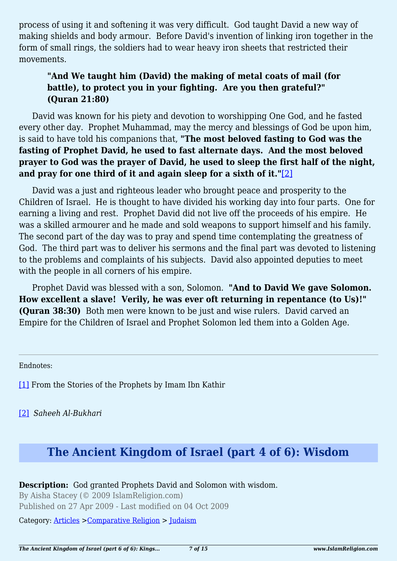process of using it and softening it was very difficult. God taught David a new way of making shields and body armour. Before David's invention of linking iron together in the form of small rings, the soldiers had to wear heavy iron sheets that restricted their movements.

#### **"And We taught him (David) the making of metal coats of mail (for battle), to protect you in your fighting. Are you then grateful?" (Quran 21:80)**

David was known for his piety and devotion to worshipping One God, and he fasted every other day. Prophet Muhammad, may the mercy and blessings of God be upon him, is said to have told his companions that, **"The most beloved fasting to God was the fasting of Prophet David, he used to fast alternate days. And the most beloved prayer to God was the prayer of David, he used to sleep the first half of the night, and pray for one third of it and again sleep for a sixth of it."**[\[2\]](#page-6-1)

<span id="page-6-2"></span>David was a just and righteous leader who brought peace and prosperity to the Children of Israel. He is thought to have divided his working day into four parts. One for earning a living and rest. Prophet David did not live off the proceeds of his empire. He was a skilled armourer and he made and sold weapons to support himself and his family. The second part of the day was to pray and spend time contemplating the greatness of God. The third part was to deliver his sermons and the final part was devoted to listening to the problems and complaints of his subjects. David also appointed deputies to meet with the people in all corners of his empire.

Prophet David was blessed with a son, Solomon. **"And to David We gave Solomon. How excellent a slave! Verily, he was ever oft returning in repentance (to Us)!" (Quran 38:30)** Both men were known to be just and wise rulers. David carved an Empire for the Children of Israel and Prophet Solomon led them into a Golden Age.

<span id="page-6-0"></span>Endnotes:

[\[1\]](#page-4-0) From the Stories of the Prophets by Imam Ibn Kathir

<span id="page-6-1"></span>[\[2\]](#page-6-2) *Saheeh Al-Bukhari*

### **The Ancient Kingdom of Israel (part 4 of 6): Wisdom**

#### **Description:** God granted Prophets David and Solomon with wisdom.

By Aisha Stacey (© 2009 IslamReligion.com) Published on 27 Apr 2009 - Last modified on 04 Oct 2009

Category: [Articles](http://www.islamreligion.com/articles/) >[Comparative Religion](http://www.islamreligion.com/category/68/) > [Judaism](http://www.islamreligion.com/category/72/)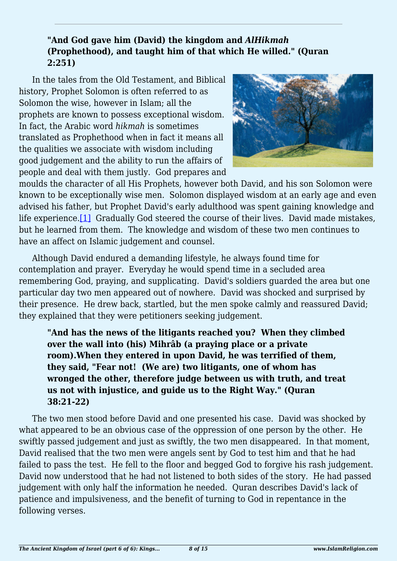#### **"And God gave him (David) the kingdom and** *AlHikmah* **(Prophethood), and taught him of that which He willed." (Quran 2:251)**

In the tales from the Old Testament, and Biblical history, Prophet Solomon is often referred to as Solomon the wise, however in Islam; all the prophets are known to possess exceptional wisdom. In fact, the Arabic word *hikmah* is sometimes translated as Prophethood when in fact it means all the qualities we associate with wisdom including good judgement and the ability to run the affairs of people and deal with them justly. God prepares and



<span id="page-7-0"></span>moulds the character of all His Prophets, however both David, and his son Solomon were known to be exceptionally wise men. Solomon displayed wisdom at an early age and even advised his father, but Prophet David's early adulthood was spent gaining knowledge and life experience.[\[1\]](#page-9-0) Gradually God steered the course of their lives. David made mistakes, but he learned from them. The knowledge and wisdom of these two men continues to have an affect on Islamic judgement and counsel.

Although David endured a demanding lifestyle, he always found time for contemplation and prayer. Everyday he would spend time in a secluded area remembering God, praying, and supplicating. David's soldiers guarded the area but one particular day two men appeared out of nowhere. David was shocked and surprised by their presence. He drew back, startled, but the men spoke calmly and reassured David; they explained that they were petitioners seeking judgement.

**"And has the news of the litigants reached you? When they climbed over the wall into (his) Mihrâb (a praying place or a private room).When they entered in upon David, he was terrified of them, they said, "Fear not! (We are) two litigants, one of whom has wronged the other, therefore judge between us with truth, and treat us not with injustice, and guide us to the Right Way." (Quran 38:21-22)**

The two men stood before David and one presented his case. David was shocked by what appeared to be an obvious case of the oppression of one person by the other. He swiftly passed judgement and just as swiftly, the two men disappeared. In that moment, David realised that the two men were angels sent by God to test him and that he had failed to pass the test. He fell to the floor and begged God to forgive his rash judgement. David now understood that he had not listened to both sides of the story. He had passed judgement with only half the information he needed. Quran describes David's lack of patience and impulsiveness, and the benefit of turning to God in repentance in the following verses.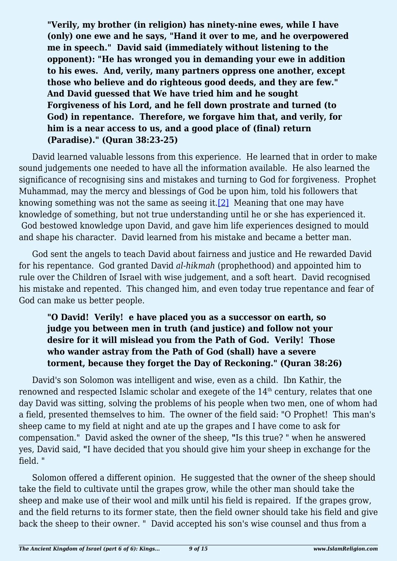**"Verily, my brother (in religion) has ninety-nine ewes, while I have (only) one ewe and he says, "Hand it over to me, and he overpowered me in speech." David said (immediately without listening to the opponent): "He has wronged you in demanding your ewe in addition to his ewes. And, verily, many partners oppress one another, except those who believe and do righteous good deeds, and they are few." And David guessed that We have tried him and he sought Forgiveness of his Lord, and he fell down prostrate and turned (to God) in repentance. Therefore, we forgave him that, and verily, for him is a near access to us, and a good place of (final) return (Paradise)." (Quran 38:23-25)**

<span id="page-8-0"></span>David learned valuable lessons from this experience. He learned that in order to make sound judgements one needed to have all the information available. He also learned the significance of recognising sins and mistakes and turning to God for forgiveness. Prophet Muhammad, may the mercy and blessings of God be upon him, told his followers that knowing something was not the same as seeing it.[\[2\]](#page-9-1) Meaning that one may have knowledge of something, but not true understanding until he or she has experienced it. God bestowed knowledge upon David, and gave him life experiences designed to mould and shape his character. David learned from his mistake and became a better man.

God sent the angels to teach David about fairness and justice and He rewarded David for his repentance. God granted David *al-hikmah* (prophethood) and appointed him to rule over the Children of Israel with wise judgement, and a soft heart. David recognised his mistake and repented. This changed him, and even today true repentance and fear of God can make us better people.

#### **"O David! Verily! e have placed you as a successor on earth, so judge you between men in truth (and justice) and follow not your desire for it will mislead you from the Path of God. Verily! Those who wander astray from the Path of God (shall) have a severe torment, because they forget the Day of Reckoning." (Quran 38:26)**

David's son Solomon was intelligent and wise, even as a child. Ibn Kathir, the renowned and respected Islamic scholar and exegete of the 14<sup>th</sup> century, relates that one day David was sitting, solving the problems of his people when two men, one of whom had a field, presented themselves to him. The owner of the field said: "O Prophet! This man's sheep came to my field at night and ate up the grapes and I have come to ask for compensation." David asked the owner of the sheep, **"**Is this true? " when he answered yes, David said, **"**I have decided that you should give him your sheep in exchange for the field. "

Solomon offered a different opinion. He suggested that the owner of the sheep should take the field to cultivate until the grapes grow, while the other man should take the sheep and make use of their wool and milk until his field is repaired. If the grapes grow, and the field returns to its former state, then the field owner should take his field and give back the sheep to their owner. " David accepted his son's wise counsel and thus from a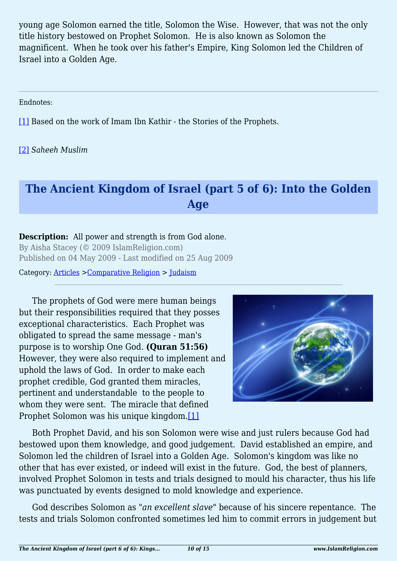young age Solomon earned the title, Solomon the Wise. However, that was not the only title history bestowed on Prophet Solomon. He is also known as Solomon the magnificent. When he took over his father's Empire, King Solomon led the Children of Israel into a Golden Age.

<span id="page-9-0"></span>Endnotes:

[\[1\]](#page-7-0) Based on the work of Imam Ibn Kathir - the Stories of the Prophets.

<span id="page-9-1"></span>[\[2\]](#page-8-0) *Saheeh Muslim*

# **The Ancient Kingdom of Israel (part 5 of 6): Into the Golden Age**

#### **Description:** All power and strength is from God alone.

By Aisha Stacey (© 2009 IslamReligion.com) Published on 04 May 2009 - Last modified on 25 Aug 2009

Category: [Articles](http://www.islamreligion.com/articles/) >[Comparative Religion](http://www.islamreligion.com/category/68/) > [Judaism](http://www.islamreligion.com/category/72/)

The prophets of God were mere human beings but their responsibilities required that they posses exceptional characteristics. Each Prophet was obligated to spread the same message - man's purpose is to worship One God. **(Quran 51:56)** However, they were also required to implement and uphold the laws of God. In order to make each prophet credible, God granted them miracles, pertinent and understandable to the people to whom they were sent. The miracle that defined Prophet Solomon was his unique kingdom.[\[1\]](#page-11-0)



<span id="page-9-2"></span>Both Prophet David, and his son Solomon were wise and just rulers because God had bestowed upon them knowledge, and good judgement. David established an empire, and Solomon led the children of Israel into a Golden Age. Solomon's kingdom was like no other that has ever existed, or indeed will exist in the future. God, the best of planners, involved Prophet Solomon in tests and trials designed to mould his character, thus his life was punctuated by events designed to mold knowledge and experience.

God describes Solomon as *"an excellent slave*" because of his sincere repentance. The tests and trials Solomon confronted sometimes led him to commit errors in judgement but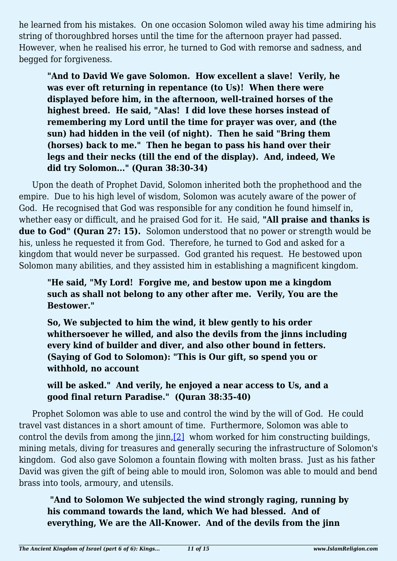he learned from his mistakes. On one occasion Solomon wiled away his time admiring his string of thoroughbred horses until the time for the afternoon prayer had passed. However, when he realised his error, he turned to God with remorse and sadness, and begged for forgiveness.

**"And to David We gave Solomon. How excellent a slave! Verily, he was ever oft returning in repentance (to Us)! When there were displayed before him, in the afternoon, well-trained horses of the highest breed. He said, "Alas! I did love these horses instead of remembering my Lord until the time for prayer was over, and (the sun) had hidden in the veil (of night). Then he said "Bring them (horses) back to me." Then he began to pass his hand over their legs and their necks (till the end of the display). And, indeed, We did try Solomon..." (Quran 38:30-34)**

Upon the death of Prophet David, Solomon inherited both the prophethood and the empire. Due to his high level of wisdom, Solomon was acutely aware of the power of God. He recognised that God was responsible for any condition he found himself in, whether easy or difficult, and he praised God for it. He said, **"All praise and thanks is due to God" (Quran 27: 15).** Solomon understood that no power or strength would be his, unless he requested it from God. Therefore, he turned to God and asked for a kingdom that would never be surpassed. God granted his request. He bestowed upon Solomon many abilities, and they assisted him in establishing a magnificent kingdom.

**"He said, "My Lord! Forgive me, and bestow upon me a kingdom such as shall not belong to any other after me. Verily, You are the Bestower."**

**So, We subjected to him the wind, it blew gently to his order whithersoever he willed, and also the devils from the jinns including every kind of builder and diver, and also other bound in fetters. (Saying of God to Solomon): "This is Our gift, so spend you or withhold, no account**

**will be asked." And verily, he enjoyed a near access to Us, and a good final return Paradise." (Quran 38:35-40)**

<span id="page-10-0"></span>Prophet Solomon was able to use and control the wind by the will of God. He could travel vast distances in a short amount of time. Furthermore, Solomon was able to control the devils from among the jinn[,\[2\]](#page-11-1) whom worked for him constructing buildings, mining metals, diving for treasures and generally securing the infrastructure of Solomon's kingdom. God also gave Solomon a fountain flowing with molten brass. Just as his father David was given the gift of being able to mould iron, Solomon was able to mould and bend brass into tools, armoury, and utensils.

 **"And to Solomon We subjected the wind strongly raging, running by his command towards the land, which We had blessed. And of everything, We are the All-Knower. And of the devils from the jinn**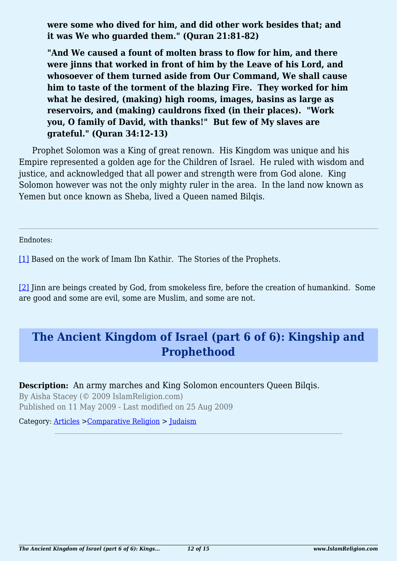**were some who dived for him, and did other work besides that; and it was We who guarded them." (Quran 21:81-82)**

**"And We caused a fount of molten brass to flow for him, and there were jinns that worked in front of him by the Leave of his Lord, and whosoever of them turned aside from Our Command, We shall cause him to taste of the torment of the blazing Fire. They worked for him what he desired, (making) high rooms, images, basins as large as reservoirs, and (making) cauldrons fixed (in their places). "Work you, O family of David, with thanks!" But few of My slaves are grateful." (Quran 34:12-13)**

Prophet Solomon was a King of great renown. His Kingdom was unique and his Empire represented a golden age for the Children of Israel. He ruled with wisdom and justice, and acknowledged that all power and strength were from God alone. King Solomon however was not the only mighty ruler in the area. In the land now known as Yemen but once known as Sheba, lived a Queen named Bilqis.

<span id="page-11-0"></span>Endnotes:

[\[1\]](#page-9-2) Based on the work of Imam Ibn Kathir. The Stories of the Prophets.

<span id="page-11-1"></span>[\[2\]](#page-10-0) Jinn are beings created by God, from smokeless fire, before the creation of humankind. Some are good and some are evil, some are Muslim, and some are not.

# **The Ancient Kingdom of Israel (part 6 of 6): Kingship and Prophethood**

#### **Description:** An army marches and King Solomon encounters Oueen Bilgis.

By Aisha Stacey (© 2009 IslamReligion.com) Published on 11 May 2009 - Last modified on 25 Aug 2009

Category: [Articles](http://www.islamreligion.com/articles/) >[Comparative Religion](http://www.islamreligion.com/category/68/) > [Judaism](http://www.islamreligion.com/category/72/)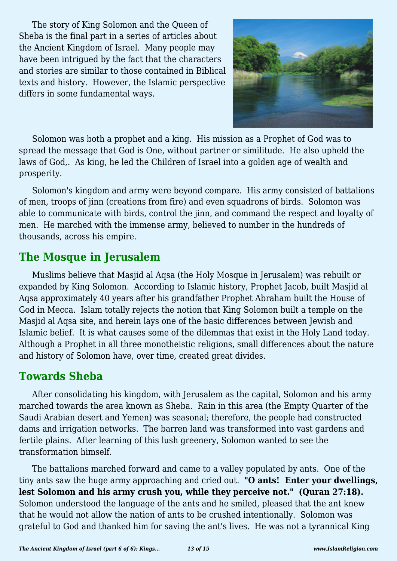The story of King Solomon and the Queen of Sheba is the final part in a series of articles about the Ancient Kingdom of Israel. Many people may have been intrigued by the fact that the characters and stories are similar to those contained in Biblical texts and history. However, the Islamic perspective differs in some fundamental ways.



Solomon was both a prophet and a king. His mission as a Prophet of God was to spread the message that God is One, without partner or similitude. He also upheld the laws of God,. As king, he led the Children of Israel into a golden age of wealth and prosperity.

Solomon's kingdom and army were beyond compare. His army consisted of battalions of men, troops of jinn (creations from fire) and even squadrons of birds. Solomon was able to communicate with birds, control the jinn, and command the respect and loyalty of men. He marched with the immense army, believed to number in the hundreds of thousands, across his empire.

# **The Mosque in Jerusalem**

Muslims believe that Masjid al Aqsa (the Holy Mosque in Jerusalem) was rebuilt or expanded by King Solomon. According to Islamic history, Prophet Jacob, built Masjid al Aqsa approximately 40 years after his grandfather Prophet Abraham built the House of God in Mecca. Islam totally rejects the notion that King Solomon built a temple on the Masjid al Aqsa site, and herein lays one of the basic differences between Jewish and Islamic belief. It is what causes some of the dilemmas that exist in the Holy Land today. Although a Prophet in all three monotheistic religions, small differences about the nature and history of Solomon have, over time, created great divides.

### **Towards Sheba**

After consolidating his kingdom, with Jerusalem as the capital, Solomon and his army marched towards the area known as Sheba. Rain in this area (the Empty Quarter of the Saudi Arabian desert and Yemen) was seasonal; therefore, the people had constructed dams and irrigation networks. The barren land was transformed into vast gardens and fertile plains. After learning of this lush greenery, Solomon wanted to see the transformation himself.

The battalions marched forward and came to a valley populated by ants. One of the tiny ants saw the huge army approaching and cried out. **"O ants! Enter your dwellings, lest Solomon and his army crush you, while they perceive not." (Quran 27:18).**  Solomon understood the language of the ants and he smiled, pleased that the ant knew that he would not allow the nation of ants to be crushed intentionally. Solomon was grateful to God and thanked him for saving the ant's lives. He was not a tyrannical King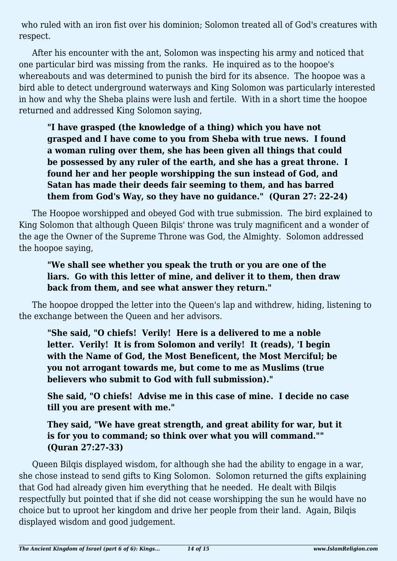who ruled with an iron fist over his dominion; Solomon treated all of God's creatures with respect.

After his encounter with the ant, Solomon was inspecting his army and noticed that one particular bird was missing from the ranks. He inquired as to the hoopoe's whereabouts and was determined to punish the bird for its absence. The hoopoe was a bird able to detect underground waterways and King Solomon was particularly interested in how and why the Sheba plains were lush and fertile. With in a short time the hoopoe returned and addressed King Solomon saying,

**"I have grasped (the knowledge of a thing) which you have not grasped and I have come to you from Sheba with true news. I found a woman ruling over them, she has been given all things that could be possessed by any ruler of the earth, and she has a great throne. I found her and her people worshipping the sun instead of God, and Satan has made their deeds fair seeming to them, and has barred them from God's Way, so they have no guidance." (Quran 27: 22-24)**

The Hoopoe worshipped and obeyed God with true submission. The bird explained to King Solomon that although Queen Bilqis' throne was truly magnificent and a wonder of the age the Owner of the Supreme Throne was God, the Almighty. Solomon addressed the hoopoe saying,

#### **"We shall see whether you speak the truth or you are one of the liars. Go with this letter of mine, and deliver it to them, then draw back from them, and see what answer they return."**

The hoopoe dropped the letter into the Queen's lap and withdrew, hiding, listening to the exchange between the Queen and her advisors.

**"She said, "O chiefs! Verily! Here is a delivered to me a noble letter. Verily! It is from Solomon and verily! It (reads), 'I begin with the Name of God, the Most Beneficent, the Most Merciful; be you not arrogant towards me, but come to me as Muslims (true believers who submit to God with full submission)."**

**She said, "O chiefs! Advise me in this case of mine. I decide no case till you are present with me."**

**They said, "We have great strength, and great ability for war, but it is for you to command; so think over what you will command."" (Quran 27:27-33)**

Queen Bilqis displayed wisdom, for although she had the ability to engage in a war, she chose instead to send gifts to King Solomon. Solomon returned the gifts explaining that God had already given him everything that he needed. He dealt with Bilqis respectfully but pointed that if she did not cease worshipping the sun he would have no choice but to uproot her kingdom and drive her people from their land. Again, Bilqis displayed wisdom and good judgement.